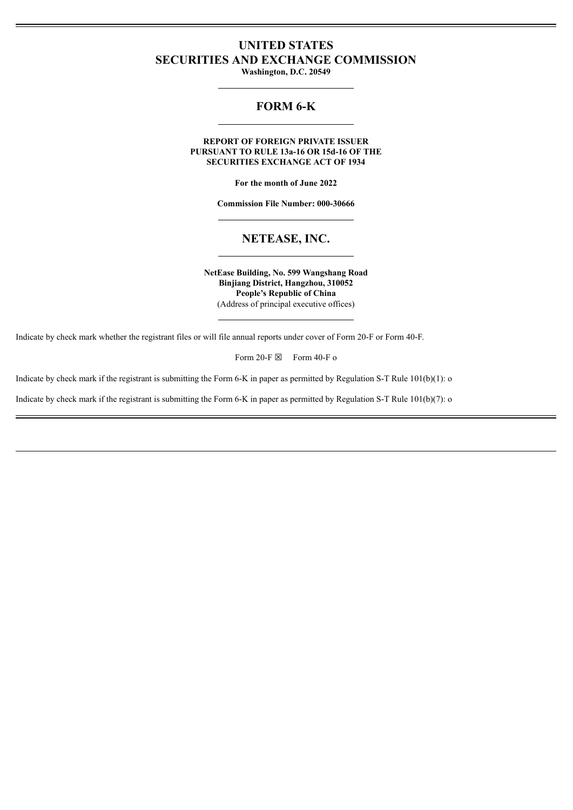# **UNITED STATES SECURITIES AND EXCHANGE COMMISSION**

**Washington, D.C. 20549**

# **FORM 6-K**

**REPORT OF FOREIGN PRIVATE ISSUER PURSUANT TO RULE 13a-16 OR 15d-16 OF THE SECURITIES EXCHANGE ACT OF 1934**

**For the month of June 2022**

**Commission File Number: 000-30666**

## **NETEASE, INC.**

**NetEase Building, No. 599 Wangshang Road Binjiang District, Hangzhou, 310052 People's Republic of China** (Address of principal executive offices)

Indicate by check mark whether the registrant files or will file annual reports under cover of Form 20-F or Form 40-F.

Form 20-F  $\boxtimes$  Form 40-F o

Indicate by check mark if the registrant is submitting the Form 6-K in paper as permitted by Regulation S-T Rule 101(b)(1): o

Indicate by check mark if the registrant is submitting the Form 6-K in paper as permitted by Regulation S-T Rule 101(b)(7): o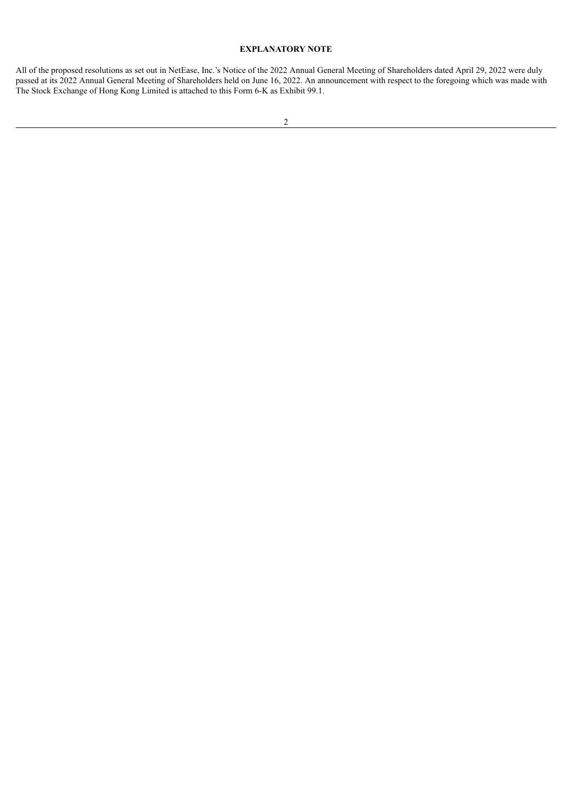### **EXPLANATORY NOTE**

All of the proposed resolutions as set out in NetEase, Inc.'s Notice of the 2022 Annual General Meeting of Shareholders dated April 29, 2022 were duly passed at its 2022 Annual General Meeting of Shareholders held on June 16, 2022. An announcement with respect to the foregoing which was made with The Stock Exchange of Hong Kong Limited is attached to this Form 6-K as Exhibit 99.1.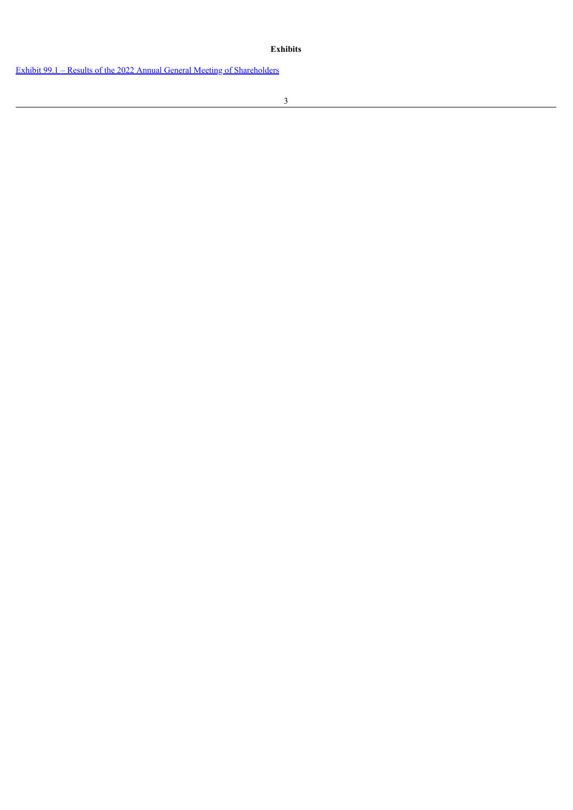#### **Exhibits**

Exhibit 99.1 – Results of the 2022 Annual General Meeting of [Shareholders](#page-4-0)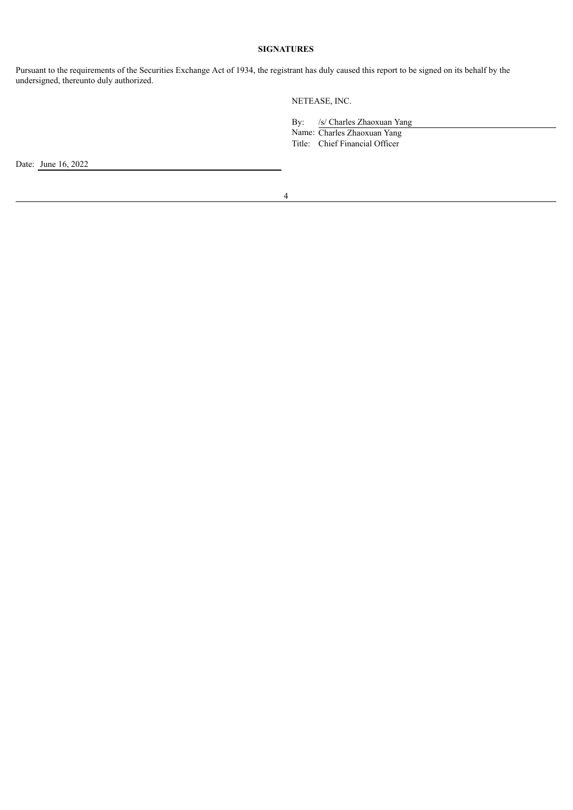#### **SIGNATURES**

Pursuant to the requirements of the Securities Exchange Act of 1934, the registrant has duly caused this report to be signed on its behalf by the undersigned, thereunto duly authorized.

NETEASE, INC.

By: /s/ Charles Zhaoxuan Yang

Name: Charles Zhaoxuan Yang Title: Chief Financial Officer

Date: June 16, 2022